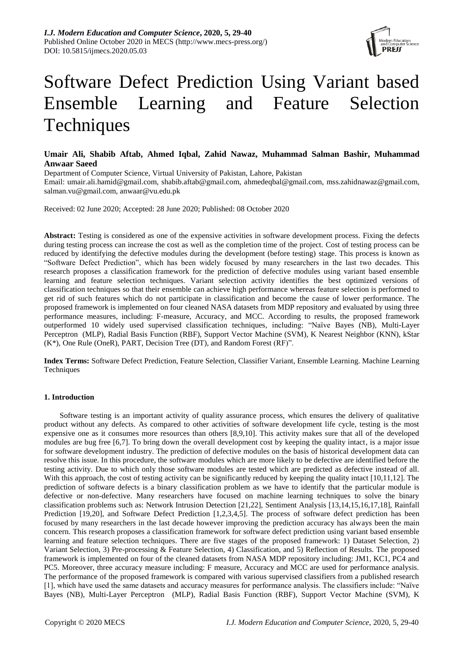

# Software Defect Prediction Using Variant based Ensemble Learning and Feature Selection **Techniques**

# **Umair Ali, Shabib Aftab, Ahmed Iqbal, Zahid Nawaz, Muhammad Salman Bashir, Muhammad Anwaar Saeed**

Department of Computer Science, Virtual University of Pakistan, Lahore, Pakistan

Email: umair.ali.hamid@gmail.com, shabib.aftab@gmail.com, [ahmedeqbal@gmail.com,](mailto:ahmedeqbal@gmail.com) [mss.zahidnawaz@gmail.com,](mailto:mss.zahidnawaz@gmail.com) salman.vu@gmail.com, anwaar@vu.edu.pk

Received: 02 June 2020; Accepted: 28 June 2020; Published: 08 October 2020

**Abstract:** Testing is considered as one of the expensive activities in software development process. Fixing the defects during testing process can increase the cost as well as the completion time of the project. Cost of testing process can be reduced by identifying the defective modules during the development (before testing) stage. This process is known as "Software Defect Prediction", which has been widely focused by many researchers in the last two decades. This research proposes a classification framework for the prediction of defective modules using variant based ensemble learning and feature selection techniques. Variant selection activity identifies the best optimized versions of classification techniques so that their ensemble can achieve high performance whereas feature selection is performed to get rid of such features which do not participate in classification and become the cause of lower performance. The proposed framework is implemented on four cleaned NASA datasets from MDP repository and evaluated by using three performance measures, including: F-measure, Accuracy, and MCC. According to results, the proposed framework outperformed 10 widely used supervised classification techniques, including: "Naïve Bayes (NB), Multi-Layer Perceptron (MLP), Radial Basis Function (RBF), Support Vector Machine (SVM), K Nearest Neighbor (KNN), kStar (K\*), One Rule (OneR), PART, Decision Tree (DT), and Random Forest (RF)".

**Index Terms:** Software Defect Prediction, Feature Selection, Classifier Variant, Ensemble Learning. Machine Learning Techniques

# **1. Introduction**

Software testing is an important activity of quality assurance process, which ensures the delivery of qualitative product without any defects. As compared to other activities of software development life cycle, testing is the most expensive one as it consumes more resources than others [8,9,10]. This activity makes sure that all of the developed modules are bug free [6,7]. To bring down the overall development cost by keeping the quality intact, is a major issue for software development industry. The prediction of defective modules on the basis of historical development data can resolve this issue. In this procedure, the software modules which are more likely to be defective are identified before the testing activity. Due to which only those software modules are tested which are predicted as defective instead of all. With this approach, the cost of testing activity can be significantly reduced by keeping the quality intact [10,11,12]. The prediction of software defects is a binary classification problem as we have to identify that the particular module is defective or non-defective. Many researchers have focused on machine learning techniques to solve the binary classification problems such as: Network Intrusion Detection [21,22], Sentiment Analysis [13,14,15,16,17,18], Rainfall Prediction [19,20], and Software Defect Prediction [1,2,3,4,5]. The process of software defect prediction has been focused by many researchers in the last decade however improving the prediction accuracy has always been the main concern. This research proposes a classification framework for software defect prediction using variant based ensemble learning and feature selection techniques. There are five stages of the proposed framework: 1) Dataset Selection, 2) Variant Selection, 3) Pre-processing & Feature Selection, 4) Classification, and 5) Reflection of Results. The proposed framework is implemented on four of the cleaned datasets from NASA MDP repository including: JM1, KC1, PC4 and PC5. Moreover, three accuracy measure including: F measure, Accuracy and MCC are used for performance analysis. The performance of the proposed framework is compared with various supervised classifiers from a published research [1], which have used the same datasets and accuracy measures for performance analysis. The classifiers include: "Naïve Bayes (NB), Multi-Layer Perceptron (MLP), Radial Basis Function (RBF), Support Vector Machine (SVM), K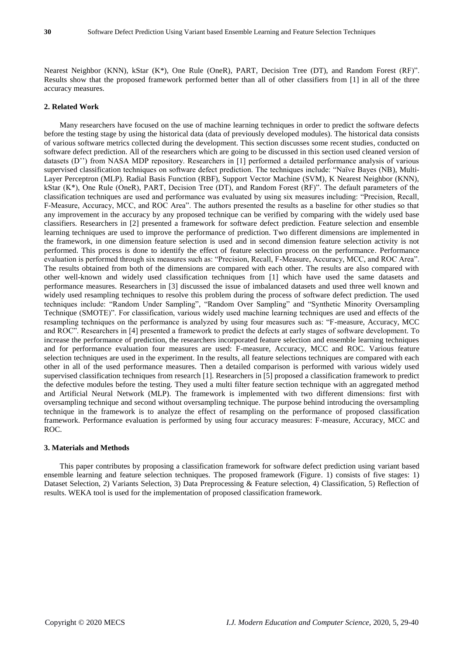Nearest Neighbor (KNN), kStar (K\*), One Rule (OneR), PART, Decision Tree (DT), and Random Forest (RF)". Results show that the proposed framework performed better than all of other classifiers from [1] in all of the three accuracy measures.

# **2. Related Work**

Many researchers have focused on the use of machine learning techniques in order to predict the software defects before the testing stage by using the historical data (data of previously developed modules). The historical data consists of various software metrics collected during the development. This section discusses some recent studies, conducted on software defect prediction. All of the researchers which are going to be discussed in this section used cleaned version of datasets (D'') from NASA MDP repository. Researchers in [1] performed a detailed performance analysis of various supervised classification techniques on software defect prediction. The techniques include: "Naïve Bayes (NB), Multi-Layer Perceptron (MLP). Radial Basis Function (RBF), Support Vector Machine (SVM), K Nearest Neighbor (KNN), kStar (K\*), One Rule (OneR), PART, Decision Tree (DT), and Random Forest (RF)". The default parameters of the classification techniques are used and performance was evaluated by using six measures including: "Precision, Recall, F-Measure, Accuracy, MCC, and ROC Area". The authors presented the results as a baseline for other studies so that any improvement in the accuracy by any proposed technique can be verified by comparing with the widely used base classifiers. Researchers in [2] presented a framework for software defect prediction. Feature selection and ensemble learning techniques are used to improve the performance of prediction. Two different dimensions are implemented in the framework, in one dimension feature selection is used and in second dimension feature selection activity is not performed. This process is done to identify the effect of feature selection process on the performance. Performance evaluation is performed through six measures such as: "Precision, Recall, F-Measure, Accuracy, MCC, and ROC Area". The results obtained from both of the dimensions are compared with each other. The results are also compared with other well-known and widely used classification techniques from [1] which have used the same datasets and performance measures. Researchers in [3] discussed the issue of imbalanced datasets and used three well known and widely used resampling techniques to resolve this problem during the process of software defect prediction. The used techniques include: "Random Under Sampling", "Random Over Sampling" and "Synthetic Minority Oversampling Technique (SMOTE)". For classification, various widely used machine learning techniques are used and effects of the resampling techniques on the performance is analyzed by using four measures such as: "F-measure, Accuracy, MCC and ROC". Researchers in [4] presented a framework to predict the defects at early stages of software development. To increase the performance of prediction, the researchers incorporated feature selection and ensemble learning techniques and for performance evaluation four measures are used: F-measure, Accuracy, MCC and ROC. Various feature selection techniques are used in the experiment. In the results, all feature selections techniques are compared with each other in all of the used performance measures. Then a detailed comparison is performed with various widely used supervised classification techniques from research [1]. Researchers in [5] proposed a classification framework to predict the defective modules before the testing. They used a multi filter feature section technique with an aggregated method and Artificial Neural Network (MLP). The framework is implemented with two different dimensions: first with oversampling technique and second without oversampling technique. The purpose behind introducing the oversampling technique in the framework is to analyze the effect of resampling on the performance of proposed classification framework. Performance evaluation is performed by using four accuracy measures: F-measure, Accuracy, MCC and ROC.

# **3. Materials and Methods**

This paper contributes by proposing a classification framework for software defect prediction using variant based ensemble learning and feature selection techniques. The proposed framework (Figure. 1) consists of five stages: 1) Dataset Selection, 2) Variants Selection, 3) Data Preprocessing & Feature selection, 4) Classification, 5) Reflection of results. WEKA tool is used for the implementation of proposed classification framework.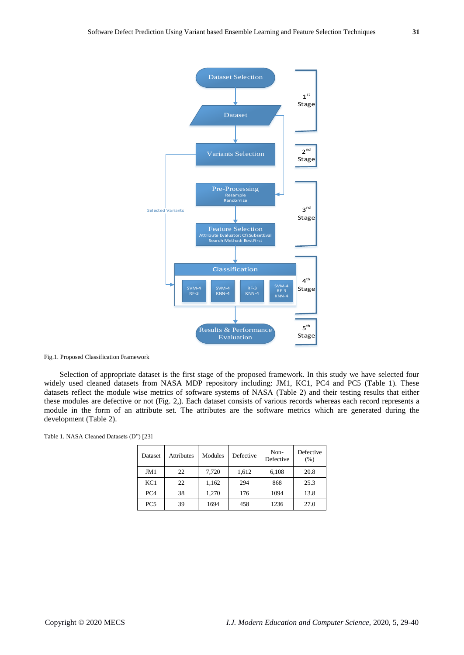

Fig.1. Proposed Classification Framework

Selection of appropriate dataset is the first stage of the proposed framework. In this study we have selected four widely used cleaned datasets from NASA MDP repository including: JM1, KC1, PC4 and PC5 (Table 1). These datasets reflect the module wise metrics of software systems of NASA (Table 2) and their testing results that either these modules are defective or not (Fig. 2,). Each dataset consists of various records whereas each record represents a module in the form of an attribute set. The attributes are the software metrics which are generated during the development (Table 2).

|  |  |  | Table 1. NASA Cleaned Datasets (D") [23] |  |  |
|--|--|--|------------------------------------------|--|--|
|--|--|--|------------------------------------------|--|--|

| Dataset         | <b>Attributes</b> | Modules | Defective | Non-<br>Defective | Defective<br>(% ) |
|-----------------|-------------------|---------|-----------|-------------------|-------------------|
| JM1             | 22                | 7,720   | 1,612     | 6,108             | 20.8              |
| KC1             | 22                | 1,162   | 294       | 868               | 25.3              |
| PC <sub>4</sub> | 38                | 1,270   | 176       | 1094              | 13.8              |
| PC <sub>5</sub> | 39                | 1694    | 458       | 1236              | 27.0              |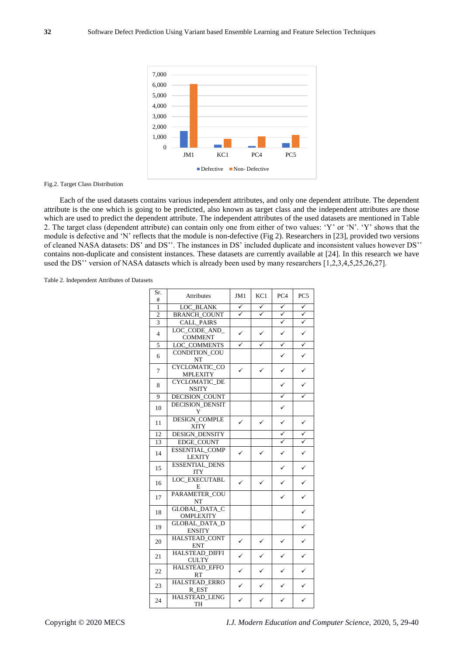

#### Fig.2. Target Class Distribution

Each of the used datasets contains various independent attributes, and only one dependent attribute. The dependent attribute is the one which is going to be predicted, also known as target class and the independent attributes are those which are used to predict the dependent attribute. The independent attributes of the used datasets are mentioned in Table 2. The target class (dependent attribute) can contain only one from either of two values: 'Y' or 'N'. 'Y' shows that the module is defective and 'N' reflects that the module is non-defective (Fig 2). Researchers in [23], provided two versions of cleaned NASA datasets: DS' and DS''. The instances in DS' included duplicate and inconsistent values however DS'' contains non-duplicate and consistent instances. These datasets are currently available at [24]. In this research we have used the DS'' version of NASA datasets which is already been used by many researchers [1,2,3,4,5,25,26,27].

Table 2. Independent Attributes of Datasets

| Sr.<br>#       | <b>Attributes</b>                        | JM1          | KC1 | PC <sub>4</sub>         | PC <sub>5</sub>         |
|----------------|------------------------------------------|--------------|-----|-------------------------|-------------------------|
| $\mathbf{1}$   | LOC BLANK                                | ✓            | ✓   | ✓                       | ✓                       |
| $\overline{c}$ | <b>BRANCH_COUNT</b>                      | $\checkmark$ | ✓   | ✓                       | $\checkmark$            |
| $\overline{3}$ | <b>CALL_PAIRS</b>                        |              |     | $\overline{\checkmark}$ | $\overline{\checkmark}$ |
| 4              | LOC CODE AND<br><b>COMMENT</b>           | ✓            | ✓   | ✓                       | $\checkmark$            |
| $\overline{5}$ | LOC COMMENTS                             | ✓            | ✓   | ✓                       | $\checkmark$            |
| 6              | CONDITION_COU<br>NT                      |              |     |                         | $\checkmark$            |
| $\overline{7}$ | CYCLOMATIC_CO<br><b>MPLEXITY</b>         | ✓            | ✓   |                         | ✓                       |
| 8              | CYCLOMATIC_DE<br><b>NSITY</b>            |              |     | ✓                       | ✓                       |
| 9              | DECISION_COUNT                           |              |     |                         |                         |
| 10             | <b>DECISION_DENSIT</b><br>Y              |              |     | ✓                       |                         |
| 11             | <b>DESIGN_COMPLE</b><br><b>XITY</b>      | ✓            |     | ✓                       | $\checkmark$            |
| 12             | DESIGN_DENSITY                           |              |     | $\checkmark$            | $\overline{\checkmark}$ |
| 13             | <b>EDGE COUNT</b>                        |              |     | ✓                       | $\overline{\checkmark}$ |
| 14             | <b>ESSENTIAL_COMP</b><br>LEXITY          | ✓            | ✓   | ✓                       | $\checkmark$            |
| 15             | ESSENTIAL_DENS<br><b>ITY</b>             |              |     |                         | $\checkmark$            |
| 16             | <b>LOC_EXECUTABL</b><br>E                | ✓            | ✓   |                         | $\checkmark$            |
| 17             | PARAMETER_COU<br>NT                      |              |     |                         | ✓                       |
| 18             | <b>GLOBAL DATA C</b><br><b>OMPLEXITY</b> |              |     |                         | $\checkmark$            |
| 19             | <b>GLOBAL_DATA_D</b><br><b>ENSITY</b>    |              |     |                         | $\checkmark$            |
| 20             | HALSTEAD_CONT<br><b>ENT</b>              | ✓            |     |                         |                         |
| 21             | HALSTEAD_DIFFI<br><b>CULTY</b>           | ✓            |     |                         | ✓                       |
| 22             | HALSTEAD_EFFO<br>RT                      | $\checkmark$ |     |                         | $\checkmark$            |
| 23             | <b>HALSTEAD ERRO</b><br>R_EST            | $\checkmark$ |     |                         |                         |
| 24             | <b>HALSTEAD LENG</b><br>TH               |              |     |                         | $\checkmark$            |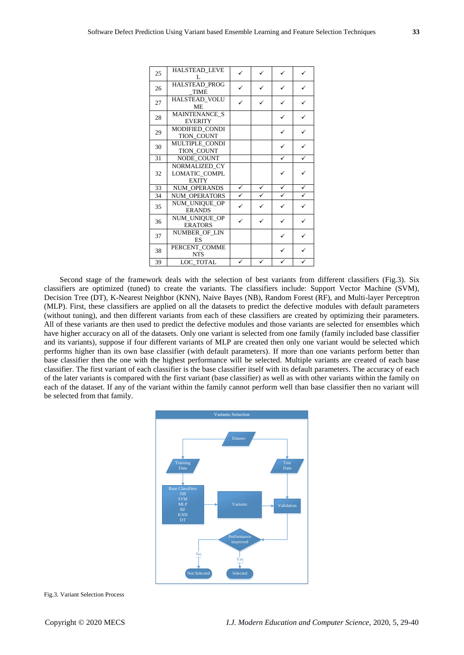| 25 | <b>HALSTEAD LEVE</b><br>L                      |                    |   |   |   |
|----|------------------------------------------------|--------------------|---|---|---|
| 26 | <b>HALSTEAD PROG</b><br><b>TIME</b>            | ✓                  |   |   | ✓ |
| 27 | HALSTEAD_VOLU<br><b>ME</b>                     | ✓                  |   | ✓ | ✓ |
| 28 | MAINTENANCE S<br><b>EVERITY</b>                |                    |   | ✓ | ✓ |
| 29 | MODIFIED CONDI<br>TION_COUNT                   |                    |   |   | ✓ |
| 30 | MULTIPLE CONDI<br>TION_COUNT                   |                    |   | ✓ | ✓ |
| 31 | NODE COUNT                                     |                    |   | ✓ | ✓ |
| 32 | NORMALIZED CY<br>LOMATIC COMPL<br><b>EXITY</b> |                    |   | ✓ |   |
| 33 | <b>NUM OPERANDS</b>                            | ✓                  | ✓ | ✓ | ✓ |
| 34 | NUM OPERATORS                                  | $\bar{\checkmark}$ |   | ✓ | ✓ |
| 35 | NUM_UNIQUE_OP<br><b>ERANDS</b>                 |                    |   | ✓ | ✓ |
| 36 | NUM UNIQUE OP<br><b>ERATORS</b>                |                    | ✓ | ✓ | ✓ |
| 37 | NUMBER OF LIN<br><b>ES</b>                     |                    |   |   |   |
| 38 | PERCENT_COMME<br><b>NTS</b>                    |                    |   |   | ✓ |
| 39 | LOC_TOTAL                                      | ✓                  |   | ✓ | ✓ |

Second stage of the framework deals with the selection of best variants from different classifiers (Fig.3). Six classifiers are optimized (tuned) to create the variants. The classifiers include: Support Vector Machine (SVM), Decision Tree (DT), K-Nearest Neighbor (KNN), Naive Bayes (NB), Random Forest (RF), and Multi-layer Perceptron (MLP). First, these classifiers are applied on all the datasets to predict the defective modules with default parameters (without tuning), and then different variants from each of these classifiers are created by optimizing their parameters. All of these variants are then used to predict the defective modules and those variants are selected for ensembles which have higher accuracy on all of the datasets. Only one variant is selected from one family (family included base classifier and its variants), suppose if four different variants of MLP are created then only one variant would be selected which performs higher than its own base classifier (with default parameters). If more than one variants perform better than base classifier then the one with the highest performance will be selected. Multiple variants are created of each base classifier. The first variant of each classifier is the base classifier itself with its default parameters. The accuracy of each of the later variants is compared with the first variant (base classifier) as well as with other variants within the family on each of the dataset. If any of the variant within the family cannot perform well than base classifier then no variant will be selected from that family.



Fig.3. Variant Selection Process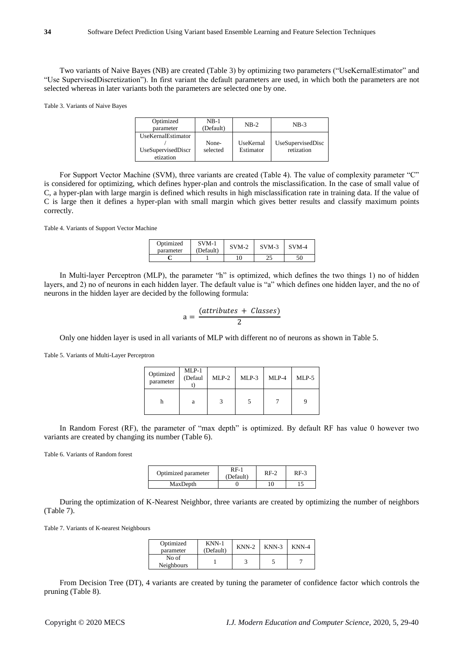Two variants of Naive Bayes (NB) are created (Table 3) by optimizing two parameters ("UseKernalEstimator" and "Use SupervisedDiscretization"). In first variant the default parameters are used, in which both the parameters are not selected whereas in later variants both the parameters are selected one by one.

Table 3. Variants of Naive Bayes

| Optimized<br>parameter                                | $NB-1$<br>(Default) | $NB-2$                 | $NB-3$                          |
|-------------------------------------------------------|---------------------|------------------------|---------------------------------|
| UseKernalEstimator<br>UseSupervisedDiscr<br>etization | None-<br>selected   | UseKernal<br>Estimator | UseSupervisedDisc<br>retization |

For Support Vector Machine (SVM), three variants are created (Table 4). The value of complexity parameter "C" is considered for optimizing, which defines hyper-plan and controls the misclassification. In the case of small value of C, a hyper-plan with large margin is defined which results in high misclassification rate in training data. If the value of C is large then it defines a hyper-plan with small margin which gives better results and classify maximum points correctly.

Table 4. Variants of Support Vector Machine

| Optimized<br>parameter | $SVM-1$<br>(Default) | $SVM-2$ | $SVM-3$ | $SVM-4$ |
|------------------------|----------------------|---------|---------|---------|
|                        |                      | 10      | ົ       |         |

In Multi-layer Perceptron (MLP), the parameter "h" is optimized, which defines the two things 1) no of hidden layers, and 2) no of neurons in each hidden layer. The default value is "a" which defines one hidden layer, and the no of neurons in the hidden layer are decided by the following formula:

$$
a = \frac{(attributes + Classes)}{2}
$$

Only one hidden layer is used in all variants of MLP with different no of neurons as shown in Table 5.

Table 5. Variants of Multi-Layer Perceptron

| Optimized<br>parameter | $MLP-1$<br>(Defaul | $MLP-2$ | $MLP-3$ | MLP-4 | $MLP-5$ |
|------------------------|--------------------|---------|---------|-------|---------|
|                        | a                  |         |         |       |         |

In Random Forest (RF), the parameter of "max depth" is optimized. By default RF has value 0 however two variants are created by changing its number (Table 6).

Table 6. Variants of Random forest

| Optimized parameter | R F-1<br>(Default) | $RF-2$ | $RF-3$ |
|---------------------|--------------------|--------|--------|
| MaxDepth            |                    | 10     |        |

During the optimization of K-Nearest Neighbor, three variants are created by optimizing the number of neighbors (Table 7).

Table 7. Variants of K-nearest Neighbours

| Optimized<br>parameter | $KNN-1$<br>(Default) | $KNN-2$ | $KNN-3$ | $KNN-4$ |
|------------------------|----------------------|---------|---------|---------|
| No of<br>Neighbours    |                      |         |         |         |

From Decision Tree (DT), 4 variants are created by tuning the parameter of confidence factor which controls the pruning (Table 8).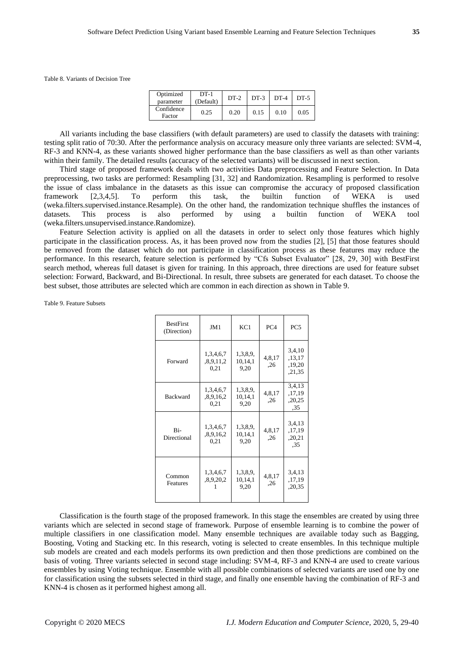Table 8. Variants of Decision Tree

| Optimized<br>parameter | $DT-1$<br>(Default) | $DT-2$ | $DT-3$ | $DT-4$ | $DT-5$ |
|------------------------|---------------------|--------|--------|--------|--------|
| Confidence<br>Factor   | 0.25                | 0.20   | 0.15   | 0.10   | 0.05   |

All variants including the base classifiers (with default parameters) are used to classify the datasets with training: testing split ratio of 70:30. After the performance analysis on accuracy measure only three variants are selected: SVM-4, RF-3 and KNN-4, as these variants showed higher performance than the base classifiers as well as than other variants within their family. The detailed results (accuracy of the selected variants) will be discussed in next section.

Third stage of proposed framework deals with two activities Data preprocessing and Feature Selection. In Data preprocessing, two tasks are performed: Resampling [31, 32] and Randomization. Resampling is performed to resolve the issue of class imbalance in the datasets as this issue can compromise the accuracy of proposed classification framework [2,3,4,5]. To perform this task, the builtin function of WEKA is used (weka.filters.supervised.instance.Resample). On the other hand, the randomization technique shuffles the instances of datasets. This process is also performed by using a builtin function of WEKA tool (weka.filters.unsupervised.instance.Randomize).

Feature Selection activity is applied on all the datasets in order to select only those features which highly participate in the classification process. As, it has been proved now from the studies [2], [5] that those features should be removed from the dataset which do not participate in classification process as these features may reduce the performance. In this research, feature selection is performed by "Cfs Subset Evaluator" [28, 29, 30] with BestFirst search method, whereas full dataset is given for training. In this approach, three directions are used for feature subset selection: Forward, Backward, and Bi-Directional. In result, three subsets are generated for each dataset. To choose the best subset, those attributes are selected which are common in each direction as shown in Table 9.

Table 9. Feature Subsets

| <b>BestFirst</b><br>(Direction) | JM1                            | KC1                         | PC <sub>4</sub> | PC <sub>5</sub>                      |
|---------------------------------|--------------------------------|-----------------------------|-----------------|--------------------------------------|
| Forward                         | 1,3,4,6,7<br>8.9,11.2<br>0,21  | 1,3,8,9,<br>10,14,1<br>9,20 | 4,8,17<br>,26   | 3,4,10<br>,13,17<br>,19,20<br>,21,35 |
| <b>Backward</b>                 | 1,3,4,6,7<br>,8,9,16,2<br>0,21 | 1,3,8,9,<br>10,14,1<br>9,20 | 4,8,17<br>.26   | 3,4,13<br>,17,19<br>,20,25<br>,35    |
| Ri-<br>Directional              | 1,3,4,6,7<br>,8,9,16,2<br>0,21 | 1,3,8,9,<br>10,14,1<br>9,20 | 4,8,17<br>,26   | 3,4,13<br>,17,19<br>,20,21<br>.35    |
| Common<br>Features              | 1,3,4,6,7<br>,8,9,20,2         | 1,3,8,9,<br>10,14,1<br>9,20 | 4,8,17<br>,26   | 3,4,13<br>,17,19<br>,20,35           |

Classification is the fourth stage of the proposed framework. In this stage the ensembles are created by using three variants which are selected in second stage of framework. Purpose of ensemble learning is to combine the power of multiple classifiers in one classification model. Many ensemble techniques are available today such as Bagging, Boosting, Voting and Stacking etc. In this research, voting is selected to create ensembles. In this technique multiple sub models are created and each models performs its own prediction and then those predictions are combined on the basis of voting. Three variants selected in second stage including: SVM-4, RF-3 and KNN-4 are used to create various ensembles by using Voting technique. Ensemble with all possible combinations of selected variants are used one by one for classification using the subsets selected in third stage, and finally one ensemble having the combination of RF-3 and KNN-4 is chosen as it performed highest among all.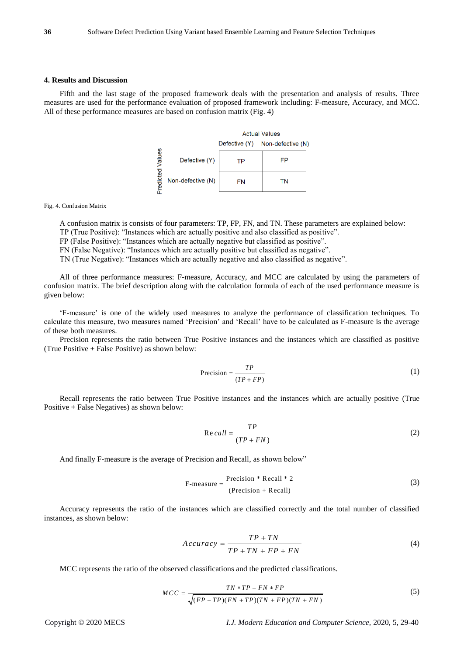#### **4. Results and Discussion**

Fifth and the last stage of the proposed framework deals with the presentation and analysis of results. Three measures are used for the performance evaluation of proposed framework including: F-measure, Accuracy, and MCC. All of these performance measures are based on confusion matrix (Fig. 4)

|        |                   | <b>Actual Values</b> |                                 |  |
|--------|-------------------|----------------------|---------------------------------|--|
|        |                   |                      | Defective (Y) Non-defective (N) |  |
| Values | Defective (Y)     | ТP                   | FP                              |  |
| dicted | Non-defective (N) | FN                   | ΤN                              |  |

Fig. 4. Confusion Matrix

A confusion matrix is consists of four parameters: TP, FP, FN, and TN. These parameters are explained below:

TP (True Positive): "Instances which are actually positive and also classified as positive". FP (False Positive): "Instances which are actually negative but classified as positive".

FN (False Negative): "Instances which are actually positive but classified as negative".

TN (True Negative): "Instances which are actually negative and also classified as negative".

All of three performance measures: F-measure, Accuracy, and MCC are calculated by using the parameters of confusion matrix. The brief description along with the calculation formula of each of the used performance measure is given below:

'F-measure' is one of the widely used measures to analyze the performance of classification techniques. To calculate this measure, two measures named 'Precision' and 'Recall' have to be calculated as F-measure is the average of these both measures.

Precision represents the ratio between True Positive instances and the instances which are classified as positive (True Positive + False Positive) as shown below:

$$
Precision = \frac{TP}{(TP + FP)}
$$
 (1)

Recall represents the ratio between True Positive instances and the instances which are actually positive (True Positive + False Negatives) as shown below:

$$
Re\,call = \frac{TP}{(TP + FN)}
$$
\n(2)

And finally F-measure is the average of Precision and Recall, as shown below"

$$
F-measure = \frac{Precision * Recall * 2}{(Precision + Recall)}
$$
 (3)

Accuracy represents the ratio of the instances which are classified correctly and the total number of classified instances, as shown below:

$$
Accuracy = \frac{TP + TN}{TP + TN + FP + FN}
$$
\n<sup>(4)</sup>

MCC represents the ratio of the observed classifications and the predicted classifications.

$$
MCC = \frac{TN * TP - FN * FP}{\sqrt{(FP + TP)(FN + TP)(TN + FP)(TN + FN)}}
$$
\n(5)

Copyright © 2020 MECS *I.J. Modern Education and Computer Science,* 2020, 5, 29-40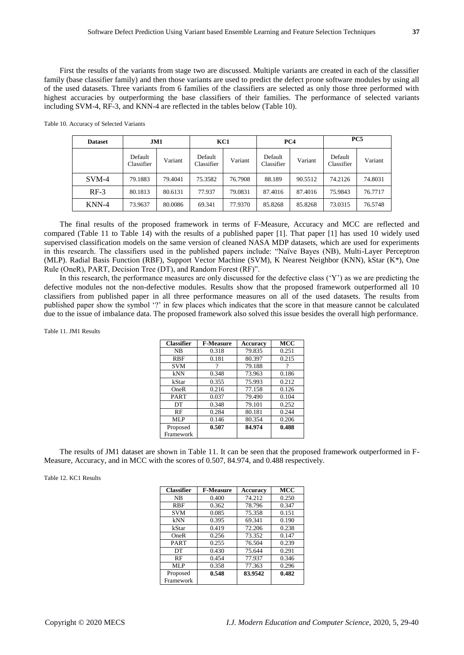First the results of the variants from stage two are discussed. Multiple variants are created in each of the classifier family (base classifier family) and then those variants are used to predict the defect prone software modules by using all of the used datasets. Three variants from 6 families of the classifiers are selected as only those three performed with highest accuracies by outperforming the base classifiers of their families. The performance of selected variants including SVM-4, RF-3, and KNN-4 are reflected in the tables below (Table 10).

|  | Table 10. Accuracy of Selected Variants |
|--|-----------------------------------------|
|--|-----------------------------------------|

| <b>Dataset</b> |                       | JM1     |                       | KC1     | PC4                   |         |                       | PC <sub>5</sub> |
|----------------|-----------------------|---------|-----------------------|---------|-----------------------|---------|-----------------------|-----------------|
|                | Default<br>Classifier | Variant | Default<br>Classifier | Variant | Default<br>Classifier | Variant | Default<br>Classifier | Variant         |
| $SVM-4$        | 79.1883               | 79.4041 | 75.3582               | 76.7908 | 88.189                | 90.5512 | 74.2126               | 74.8031         |
| $RF-3$         | 80.1813               | 80.6131 | 77.937                | 79.0831 | 87.4016               | 87.4016 | 75.9843               | 76.7717         |
| KNN-4          | 73.9637               | 80.0086 | 69.341                | 77.9370 | 85.8268               | 85.8268 | 73.0315               | 76.5748         |

The final results of the proposed framework in terms of F-Measure, Accuracy and MCC are reflected and compared (Table 11 to Table 14) with the results of a published paper [1]. That paper [1] has used 10 widely used supervised classification models on the same version of cleaned NASA MDP datasets, which are used for experiments in this research. The classifiers used in the published papers include: "Naïve Bayes (NB), Multi-Layer Perceptron (MLP). Radial Basis Function (RBF), Support Vector Machine (SVM), K Nearest Neighbor (KNN), kStar (K\*), One Rule (OneR), PART, Decision Tree (DT), and Random Forest (RF)".

In this research, the performance measures are only discussed for the defective class ('Y') as we are predicting the defective modules not the non-defective modules. Results show that the proposed framework outperformed all 10 classifiers from published paper in all three performance measures on all of the used datasets. The results from published paper show the symbol '?' in few places which indicates that the score in that measure cannot be calculated due to the issue of imbalance data. The proposed framework also solved this issue besides the overall high performance.

Table 11. JM1 Results

| <b>Classifier</b> | <b>F-Measure</b> | <b>Accuracy</b> | <b>MCC</b> |
|-------------------|------------------|-----------------|------------|
| NB                | 0.318            | 79.835          | 0.251      |
| <b>RBF</b>        | 0.181            | 80.397          | 0.215      |
| <b>SVM</b>        | ?                | 79.188          | ?          |
| kNN               | 0.348            | 73.963          | 0.186      |
| kStar             | 0.355            | 75.993          | 0.212      |
| OneR              | 0.216            | 77.158          | 0.126      |
| <b>PART</b>       | 0.037            | 79.490          | 0.104      |
| DT                | 0.348            | 79.101          | 0.252      |
| RF                | 0.284            | 80.181          | 0.244      |
| MLP               | 0.146            | 80.354          | 0.206      |
| Proposed          | 0.507            | 84.974          | 0.488      |
| Framework         |                  |                 |            |

The results of JM1 dataset are shown in Table 11. It can be seen that the proposed framework outperformed in F-Measure, Accuracy, and in MCC with the scores of 0.507, 84.974, and 0.488 respectively.

Table 12. KC1 Results

| <b>Classifier</b> | <b>F-Measure</b> | Accuracy | <b>MCC</b> |
|-------------------|------------------|----------|------------|
| <b>NB</b>         | 0.400            | 74.212   | 0.250      |
| <b>RBF</b>        | 0.362            | 78.796   | 0.347      |
| <b>SVM</b>        | 0.085            | 75.358   | 0.151      |
| kNN               | 0.395            | 69.341   | 0.190      |
| kStar             | 0.419            | 72.206   | 0.238      |
| OneR              | 0.256            | 73.352   | 0.147      |
| <b>PART</b>       | 0.255            | 76.504   | 0.239      |
| DT                | 0.430            | 75.644   | 0.291      |
| RF                | 0.454            | 77.937   | 0.346      |
| MLP               | 0.358            | 77.363   | 0.296      |
| Proposed          | 0.548            | 83.9542  | 0.482      |
| Framework         |                  |          |            |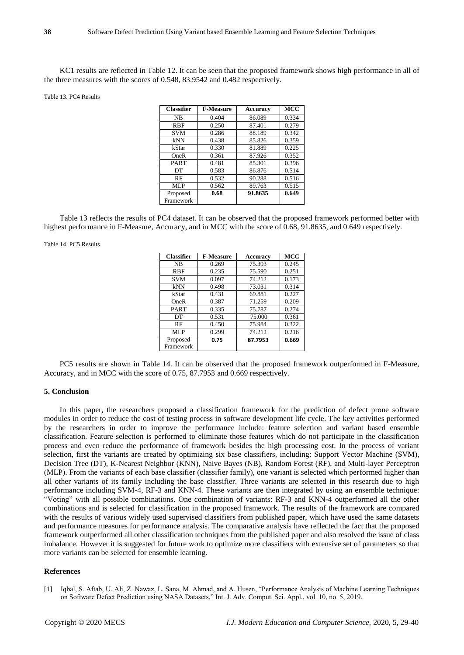KC1 results are reflected in Table 12. It can be seen that the proposed framework shows high performance in all of the three measures with the scores of 0.548, 83.9542 and 0.482 respectively.

#### Table 13. PC4 Results

| <b>Classifier</b> | <b>F-Measure</b> | <b>Accuracy</b> | MCC   |
|-------------------|------------------|-----------------|-------|
| <b>NB</b>         | 0.404            | 86.089          | 0.334 |
| <b>RBF</b>        | 0.250            | 87.401          | 0.279 |
| <b>SVM</b>        | 0.286            | 88.189          | 0.342 |
| kNN               | 0.438            | 85.826          | 0.359 |
| kStar             | 0.330            | 81.889          | 0.225 |
| OneR              | 0.361            | 87.926          | 0.352 |
| <b>PART</b>       | 0.481            | 85.301          | 0.396 |
| DT                | 0.583            | 86.876          | 0.514 |
| RF                | 0.532            | 90.288          | 0.516 |
| MLP               | 0.562            | 89.763          | 0.515 |
| Proposed          | 0.68             | 91.8635         | 0.649 |
| Framework         |                  |                 |       |

Table 13 reflects the results of PC4 dataset. It can be observed that the proposed framework performed better with highest performance in F-Measure, Accuracy, and in MCC with the score of 0.68, 91.8635, and 0.649 respectively.

#### Table 14. PC5 Results

| <b>Classifier</b> | <b>F-Measure</b> | <b>Accuracy</b> | MCC   |
|-------------------|------------------|-----------------|-------|
| <b>NB</b>         | 0.269            | 75.393          | 0.245 |
| <b>RBF</b>        | 0.235            | 75.590          | 0.251 |
| <b>SVM</b>        | 0.097            | 74.212          | 0.173 |
| kNN               | 0.498            | 73.031          | 0.314 |
| kStar             | 0.431            | 69.881          | 0.227 |
| OneR              | 0.387            | 71.259          | 0.209 |
| <b>PART</b>       | 0.335            | 75.787          | 0.274 |
| DT                | 0.531            | 75.000          | 0.361 |
| RF                | 0.450            | 75.984          | 0.322 |
| MLP               | 0.299            | 74.212          | 0.216 |
| Proposed          | 0.75             | 87.7953         | 0.669 |
| Framework         |                  |                 |       |

PC5 results are shown in Table 14. It can be observed that the proposed framework outperformed in F-Measure, Accuracy, and in MCC with the score of 0.75, 87.7953 and 0.669 respectively.

### **5. Conclusion**

In this paper, the researchers proposed a classification framework for the prediction of defect prone software modules in order to reduce the cost of testing process in software development life cycle. The key activities performed by the researchers in order to improve the performance include: feature selection and variant based ensemble classification. Feature selection is performed to eliminate those features which do not participate in the classification process and even reduce the performance of framework besides the high processing cost. In the process of variant selection, first the variants are created by optimizing six base classifiers, including: Support Vector Machine (SVM), Decision Tree (DT), K-Nearest Neighbor (KNN), Naive Bayes (NB), Random Forest (RF), and Multi-layer Perceptron (MLP). From the variants of each base classifier (classifier family), one variant is selected which performed higher than all other variants of its family including the base classifier. Three variants are selected in this research due to high performance including SVM-4, RF-3 and KNN-4. These variants are then integrated by using an ensemble technique: "Voting" with all possible combinations. One combination of variants: RF-3 and KNN-4 outperformed all the other combinations and is selected for classification in the proposed framework. The results of the framework are compared with the results of various widely used supervised classifiers from published paper, which have used the same datasets and performance measures for performance analysis. The comparative analysis have reflected the fact that the proposed framework outperformed all other classification techniques from the published paper and also resolved the issue of class imbalance. However it is suggested for future work to optimize more classifiers with extensive set of parameters so that more variants can be selected for ensemble learning.

#### **References**

[1] Iqbal, S. Aftab, U. Ali, Z. Nawaz, L. Sana, M. Ahmad, and A. Husen, "Performance Analysis of Machine Learning Techniques on Software Defect Prediction using NASA Datasets," Int. J. Adv. Comput. Sci. Appl., vol. 10, no. 5, 2019.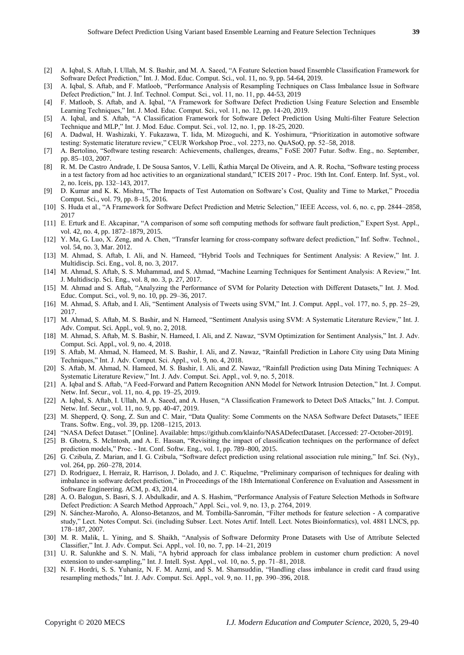- [2] A. Iqbal, S. Aftab, I. Ullah, M. S. Bashir, and M. A. Saeed, "A Feature Selection based Ensemble Classification Framework for Software Defect Prediction," Int. J. Mod. Educ. Comput. Sci., vol. 11, no. 9, pp. 54-64, 2019.
- [3] A. Iqbal, S. Aftab, and F. Matloob, "Performance Analysis of Resampling Techniques on Class Imbalance Issue in Software Defect Prediction," Int. J. Inf. Technol. Comput. Sci., vol. 11, no. 11, pp. 44-53, 2019
- [4] F. Matloob, S. Aftab, and A. Iqbal, "A Framework for Software Defect Prediction Using Feature Selection and Ensemble Learning Techniques," Int. J. Mod. Educ. Comput. Sci., vol. 11, no. 12, pp. 14-20, 2019.
- [5] A. Iqbal, and S. Aftab, "A Classification Framework for Software Defect Prediction Using Multi-filter Feature Selection Technique and MLP," Int. J. Mod. Educ. Comput. Sci., vol. 12, no. 1, pp. 18-25, 2020.
- [6] A. Dadwal, H. Washizaki, Y. Fukazawa, T. Iida, M. Mizoguchi, and K. Yoshimura, "Prioritization in automotive software testing: Systematic literature review," CEUR Workshop Proc., vol. 2273, no. QuASoQ, pp. 52–58, 2018.
- [7] A. Bertolino, "Software testing research: Achievements, challenges, dreams," FoSE 2007 Futur. Softw. Eng., no. September, pp. 85–103, 2007.
- [8] R. M. De Castro Andrade, I. De Sousa Santos, V. Lelli, Kathia Marçal De Oliveira, and A. R. Rocha, "Software testing process" in a test factory from ad hoc activities to an organizational standard," ICEIS 2017 - Proc. 19th Int. Conf. Enterp. Inf. Syst., vol. 2, no. Iceis, pp. 132–143, 2017.
- [9] D. Kumar and K. K. Mishra, "The Impacts of Test Automation on Software's Cost, Quality and Time to Market," Procedia Comput. Sci., vol. 79, pp. 8–15, 2016.
- [10] S. Huda et al., "A Framework for Software Defect Prediction and Metric Selection," IEEE Access, vol. 6, no. c, pp. 2844–2858, 2017
- [11] E. Erturk and E. Akcapinar, "A comparison of some soft computing methods for software fault prediction," Expert Syst. Appl., vol. 42, no. 4, pp. 1872–1879, 2015.
- [12] Y. Ma, G. Luo, X. Zeng, and A. Chen, "Transfer learning for cross-company software defect prediction," Inf. Softw. Technol., vol. 54, no. 3, Mar. 2012.
- [13] M. Ahmad, S. Aftab, I. Ali, and N. Hameed, "Hybrid Tools and Techniques for Sentiment Analysis: A Review," Int. J. Multidiscip. Sci. Eng., vol. 8, no. 3, 2017.
- [14] M. Ahmad, S. Aftab, S. S. Muhammad, and S. Ahmad, "Machine Learning Techniques for Sentiment Analysis: A Review," Int. J. Multidiscip. Sci. Eng., vol. 8, no. 3, p. 27, 2017.
- [15] M. Ahmad and S. Aftab, "Analyzing the Performance of SVM for Polarity Detection with Different Datasets," Int. J. Mod. Educ. Comput. Sci., vol. 9, no. 10, pp. 29–36, 2017.
- [16] M. Ahmad, S. Aftab, and I. Ali, "Sentiment Analysis of Tweets using SVM," Int. J. Comput. Appl., vol. 177, no. 5, pp. 25–29, 2017.
- [17] M. Ahmad, S. Aftab, M. S. Bashir, and N. Hameed, "Sentiment Analysis using SVM: A Systematic Literature Review," Int. J. Adv. Comput. Sci. Appl., vol. 9, no. 2, 2018.
- [18] M. Ahmad, S. Aftab, M. S. Bashir, N. Hameed, I. Ali, and Z. Nawaz, "SVM Optimization for Sentiment Analysis," Int. J. Adv. Comput. Sci. Appl., vol. 9, no. 4, 2018.
- [19] S. Aftab, M. Ahmad, N. Hameed, M. S. Bashir, I. Ali, and Z. Nawaz, "Rainfall Prediction in Lahore City using Data Mining Techniques," Int. J. Adv. Comput. Sci. Appl., vol. 9, no. 4, 2018.
- [20] S. Aftab, M. Ahmad, N. Hameed, M. S. Bashir, I. Ali, and Z. Nawaz, "Rainfall Prediction using Data Mining Techniques: A Systematic Literature Review," Int. J. Adv. Comput. Sci. Appl., vol. 9, no. 5, 2018.
- [21] A. Iqbal and S. Aftab, "A Feed-Forward and Pattern Recognition ANN Model for Network Intrusion Detection," Int. J. Comput. Netw. Inf. Secur., vol. 11, no. 4, pp. 19–25, 2019.
- [22] A. Iqbal, S. Aftab, I. Ullah, M. A. Saeed, and A. Husen, "A Classification Framework to Detect DoS Attacks," Int. J. Comput. Netw. Inf. Secur., vol. 11, no. 9, pp. 40-47, 2019.
- [23] M. Shepperd, Q. Song, Z. Sun and C. Mair, "Data Quality: Some Comments on the NASA Software Defect Datasets," IEEE Trans. Softw. Eng., vol. 39, pp. 1208–1215, 2013.
- [24] "NASA Defect Dataset." [Online]. Available: https://github.com/klainfo/NASADefectDataset. [Accessed: 27-October-2019].
- [25] B. Ghotra, S. McIntosh, and A. E. Hassan, "Revisiting the impact of classification techniques on the performance of defect prediction models," Proc. - Int. Conf. Softw. Eng., vol. 1, pp. 789–800, 2015.
- [26] G. Czibula, Z. Marian, and I. G. Czibula, "Software defect prediction using relational association rule mining," Inf. Sci. (Ny)., vol. 264, pp. 260–278, 2014.
- [27] D. Rodriguez, I. Herraiz, R. Harrison, J. Dolado, and J. C. Riquelme, "Preliminary comparison of techniques for dealing with imbalance in software defect prediction," in Proceedings of the 18th International Conference on Evaluation and Assessment in Software Engineering. ACM, p. 43, 2014.
- [28] A. O. Balogun, S. Basri, S. J. Abdulkadir, and A. S. Hashim, "Performance Analysis of Feature Selection Methods in Software Defect Prediction: A Search Method Approach," Appl. Sci., vol. 9, no. 13, p. 2764, 2019.
- [29] N. Sánchez-Maroño, A. Alonso-Betanzos, and M. Tombilla-Sanromán, "Filter methods for feature selection A comparative study," Lect. Notes Comput. Sci. (including Subser. Lect. Notes Artif. Intell. Lect. Notes Bioinformatics), vol. 4881 LNCS, pp. 178–187, 2007.
- [30] M. R. Malik, L. Yining, and S. Shaikh, "Analysis of Software Deformity Prone Datasets with Use of Attribute Selected Classifier," Int. J. Adv. Comput. Sci. Appl., vol. 10, no. 7, pp. 14–21, 2019
- [31] U. R. Salunkhe and S. N. Mali, "A hybrid approach for class imbalance problem in customer churn prediction: A novel extension to under-sampling," Int. J. Intell. Syst. Appl., vol. 10, no. 5, pp. 71–81, 2018.
- [32] N. F. Hordri, S. S. Yuhaniz, N. F. M. Azmi, and S. M. Shamsuddin, "Handling class imbalance in credit card fraud using resampling methods," Int. J. Adv. Comput. Sci. Appl., vol. 9, no. 11, pp. 390–396, 2018.